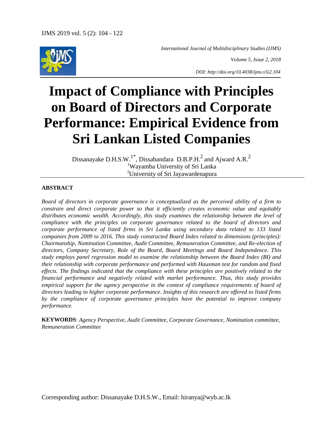

 *International Journal of Multidisciplinary Studies (IJMS)*

*Volume 5, Issue 2, 2018*

*DOI: http://doi.org/10.4038/ijms.v5i2.104*

# **Impact of Compliance with Principles on Board of Directors and Corporate Performance: Empirical Evidence from Sri Lankan Listed Companies**

Dissanayake D.H.S.W.<sup>1\*</sup>, Dissabandara D.B.P.H.<sup>2</sup> and Ajward A.R.<sup>2</sup> <sup>1</sup>Wayamba University of Sri Lanka <sup>2</sup>University of Sri Jayawardenapura

#### **ABSTRACT**

*Board of directors in corporate governance is conceptualized as the perceived ability of a firm to constrain and direct corporate power so that it efficiently creates economic value and equitably distributes economic wealth. Accordingly, this study examines the relationship between the level of compliance with the principles on corporate governance related to the board of directors and corporate performance of listed firms in Sri Lanka using secondary data related to 133 listed companies from 2009 to 2016. This study constructed Board Index related to dimensions (principles): Chairmanship, Nomination Committee, Audit Committee, Remuneration Committee, and Re-election of directors, Company Secretary, Role of the Board, Board Meetings and Board Independence. This study employs panel regression model to examine the relationship between the Board Index (BI) and their relationship with corporate performance and performed with Hausman test for random and fixed effects. The findings indicated that the compliance with these principles are positively related to the financial performance and negatively related with market performance. Thus, this study provides empirical support for the agency perspective in the context of compliance requirements of board of directors leading to higher corporate performance. Insights of this research are offered to listed firms by the compliance of corporate governance principles have the potential to improve company performance.*

**KEYWORDS**: *Agency Perspective, Audit Committee, Corporate Governance, Nomination committee, Remuneration Committee*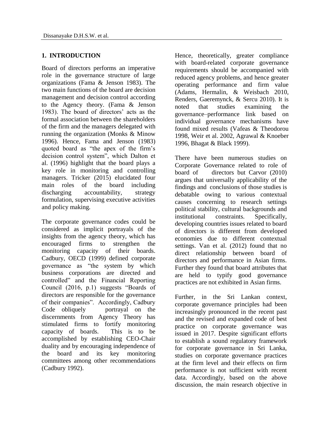## **1. INTRODUCTION**

Board of directors performs an imperative role in the governance structure of large organizations (Fama & Jenson 1983). The two main functions of the board are decision management and decision control according to the Agency theory. (Fama & Jenson 1983). The board of directors' acts as the formal association between the shareholders of the firm and the managers delegated with running the organization (Monks & Minow 1996). Hence, Fama and Jenson (1983) quoted board as "the apex of the firm"s decision control system", which Dalton et al. (1996) highlight that the board plays a key role in monitoring and controlling managers. Tricker (2015) elucidated four main roles of the board including discharging accountability, strategy formulation, supervising executive activities and policy making.

The corporate governance codes could be considered as implicit portrayals of the insights from the agency theory, which has encouraged firms to strengthen the monitoring capacity of their boards. Cadbury, OECD (1999) defined corporate governance as "the system by which business corporations are directed and controlled" and the Financial Reporting Council (2016, p.1) suggests "Boards of directors are responsible for the governance of their companies". Accordingly, Cadbury Code obliquely portrayal on the discernments from Agency Theory has stimulated firms to fortify monitoring capacity of boards. This is to be accomplished by establishing CEO-Chair duality and by encouraging independence of the board and its key monitoring committees among other recommendations (Cadbury 1992).

Hence, theoretically, greater compliance with board-related corporate governance requirements should be accompanied with reduced agency problems, and hence greater operating performance and firm value (Adams, Hermalin, & Weisbach 2010, Renders, Gaeremynck, & Sercu 2010). It is noted that studies examining the governance–performance link based on individual governance mechanisms have found mixed results (Vafeas & Theodorou 1998, Weir et al. 2002, Agrawal & Knoeber 1996, Bhagat & Black 1999).

There have been numerous studies on Corporate Governance related to role of board of directors but Carvor (2010) argues that universally applicability of the findings and conclusions of those studies is debatable owing to various contextual causes concerning to research settings political stability, cultural backgrounds and institutional constraints. Specifically, developing countries issues related to board of directors is different from developed economies due to different contextual settings. Van et al. (2012) found that no direct relationship between board of directors and performance in Asian firms. Further they found that board attributes that are held to typify good governance practices are not exhibited in Asian firms.

Further, in the Sri Lankan context, corporate governance principles had been increasingly pronounced in the recent past and the revised and expanded code of best practice on corporate governance was issued in 2017. Despite significant efforts to establish a sound regulatory framework for corporate governance in Sri Lanka, studies on corporate governance practices at the firm level and their effects on firm performance is not sufficient with recent data. Accordingly, based on the above discussion, the main research objective in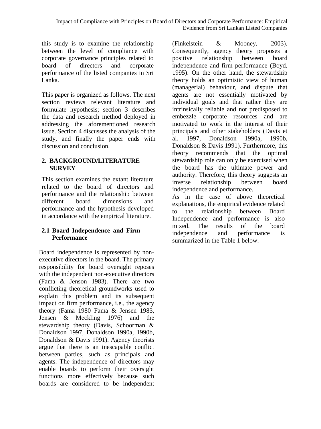this study is to examine the relationship between the level of compliance with corporate governance principles related to board of directors and corporate performance of the listed companies in Sri Lanka.

This paper is organized as follows. The next section reviews relevant literature and formulate hypothesis; section 3 describes the data and research method deployed in addressing the aforementioned research issue. Section 4 discusses the analysis of the study, and finally the paper ends with discussion and conclusion.

#### **2. BACKGROUND/LITERATURE SURVEY**

This section examines the extant literature related to the board of directors and performance and the relationship between<br>different board dimensions and board dimensions and performance and the hypothesis developed in accordance with the empirical literature.

# **2.1 Board Independence and Firm Performance**

Board independence is represented by nonexecutive directors in the board. The primary responsibility for board oversight reposes with the independent non-executive directors (Fama & Jenson 1983). There are two conflicting theoretical groundworks used to explain this problem and its subsequent impact on firm performance, i.e., the agency theory (Fama 1980 Fama & Jensen 1983, Jensen & Meckling 1976) and the stewardship theory (Davis, Schoorman & Donaldson 1997, Donaldson 1990a, 1990b, Donaldson & Davis 1991). Agency theorists argue that there is an inescapable conflict between parties, such as principals and agents. The independence of directors may enable boards to perform their oversight functions more effectively because such boards are considered to be independent (Finkelstein & Mooney, 2003). Consequently, agency theory proposes a positive relationship between board independence and firm performance (Boyd, 1995). On the other hand, the stewardship theory holds an optimistic view of human (managerial) behaviour, and dispute that agents are not essentially motivated by individual goals and that rather they are intrinsically reliable and not predisposed to embezzle corporate resources and are motivated to work in the interest of their principals and other stakeholders (Davis et al. 1997, Donaldson 1990a, 1990b, Donaldson & Davis 1991). Furthermore, this theory recommends that the optimal stewardship role can only be exercised when the board has the ultimate power and authority. Therefore, this theory suggests an inverse relationship between board independence and performance.

As in the case of above theoretical explanations, the empirical evidence related to the relationship between Board Independence and performance is also mixed. The results of the board<br>independence and performance is independence and performance is summarized in the Table 1 below.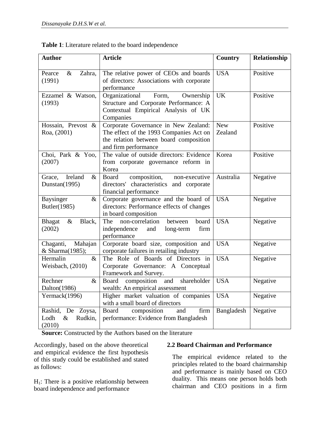| <b>Author</b>                                          | <b>Article</b>                                                                                                                                    | <b>Country</b>        | Relationship |
|--------------------------------------------------------|---------------------------------------------------------------------------------------------------------------------------------------------------|-----------------------|--------------|
| Pearce<br>$\&$<br>Zahra,<br>(1991)                     | The relative power of CEOs and boards<br>of directors: Associations with corporate<br>performance                                                 | <b>USA</b>            | Positive     |
| Ezzamel & Watson,<br>(1993)                            | Organizational<br>Form,<br>Ownership<br>Structure and Corporate Performance: A<br>Contextual Empirical Analysis of UK<br>Companies                | <b>UK</b>             | Positive     |
| Hossain, Prevost &<br>Roa, (2001)                      | Corporate Governance in New Zealand:<br>The effect of the 1993 Companies Act on<br>the relation between board composition<br>and firm performance | <b>New</b><br>Zealand | Positive     |
| Choi, Park & Yoo,<br>(2007)                            | The value of outside directors: Evidence<br>from corporate governance reform in<br>Korea                                                          | Korea                 | Positive     |
| Ireland<br>$\&$<br>Grace,<br>Dunstan(1995)             | composition,<br>Board<br>non-executive<br>directors' characteristics and corporate<br>financial performance                                       | Australia             | Negative     |
| Baysinger<br>$\&$<br>Butler(1985)                      | Corporate governance and the board of<br>directors: Performance effects of changes<br>in board composition                                        | <b>USA</b>            | Negative     |
| Black,<br><b>Bhagat</b><br>$\&$<br>(2002)              | The<br>non-correlation<br>board<br>between<br>independence<br>long-term<br>firm<br>and<br>performance                                             | <b>USA</b>            | Negative     |
| Chaganti,<br>Mahajan<br>& Sharma(1985);                | Corporate board size, composition and<br>corporate failures in retailing industry                                                                 | <b>USA</b>            | Negative     |
| Hermalin<br>$\&$<br>Weisbach, (2010)                   | The Role of Boards of Directors in<br>Corporate Governance: A Conceptual<br>Framework and Survey.                                                 | <b>USA</b>            | Negative     |
| Rechner<br>$\&$<br>Dalton(1986)                        | shareholder<br>composition and<br>Board<br>wealth: An empirical assessment                                                                        | <b>USA</b>            | Negative     |
| Yermack(1996)                                          | Higher market valuation of companies<br>with a small board of directors                                                                           | <b>USA</b>            | Negative     |
| Rashid, De Zoysa,<br>Rudkin,<br>Lodh<br>$\&$<br>(2010) | composition<br>Board<br>firm<br>and<br>performance: Evidence from Bangladesh                                                                      | Bangladesh            | Negative     |

**Table 1**: Literature related to the board independence

**Source:** Constructed by the Authors based on the literature

Accordingly, based on the above theoretical and empirical evidence the first hypothesis of this study could be established and stated as follows:

 $H<sub>1</sub>$ : There is a positive relationship between board independence and performance

#### **2.2 Board Chairman and Performance**

The empirical evidence related to the principles related to the board chairmanship and performance is mainly based on CEO duality. This means one person holds both chairman and CEO positions in a firm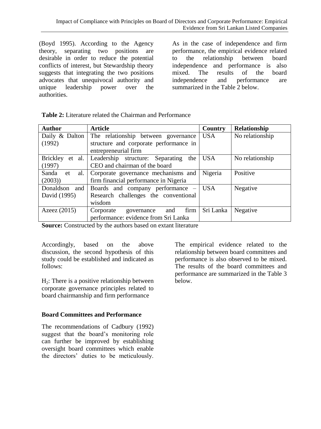(Boyd 1995). According to the Agency theory, separating two positions are desirable in order to reduce the potential conflicts of interest, but Stewardship theory suggests that integrating the two positions advocates that unequivocal authority and unique leadership power over the authorities.

As in the case of independence and firm performance, the empirical evidence related to the relationship between board independence and performance is also mixed. The results of the board independence and performance are summarized in the Table 2 below.

| <b>Author</b>      | <b>Article</b>                         | Country    | Relationship    |
|--------------------|----------------------------------------|------------|-----------------|
| Daily & Dalton     | The relationship between governance    | <b>USA</b> | No relationship |
| (1992)             | structure and corporate performance in |            |                 |
|                    | entrepreneurial firm                   |            |                 |
| Brickley<br>et al. | Leadership structure: Separating the   | <b>USA</b> | No relationship |
| (1997)             | CEO and chairman of the board          |            |                 |
| Sanda et<br>al.    | Corporate governance mechanisms and    | Nigeria    | Positive        |
| (2003)             | firm financial performance in Nigeria  |            |                 |
| Donaldson<br>and   | Boards and company performance $-$ USA |            | Negative        |
| David (1995)       | Research challenges the conventional   |            |                 |
|                    | wisdom                                 |            |                 |
| Azeez $(2015)$     | firm<br>Corporate<br>and<br>governance | Sri Lanka  | Negative        |
|                    | performance: evidence from Sri Lanka   |            |                 |

**Table 2:** Literature related the Chairman and Performance

**Source:** Constructed by the authors based on extant literature

Accordingly, based on the above discussion, the second hypothesis of this study could be established and indicated as follows:

 $H<sub>2</sub>$ : There is a positive relationship between corporate governance principles related to board chairmanship and firm performance

#### **Board Committees and Performance**

The recommendations of Cadbury (1992) suggest that the board"s monitoring role can further be improved by establishing oversight board committees which enable the directors" duties to be meticulously.

The empirical evidence related to the relationship between board committees and performance is also observed to be mixed. The results of the board committees and performance are summarized in the Table 3 below.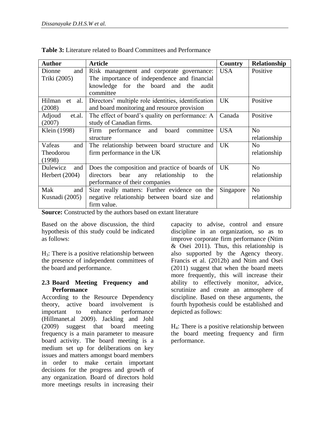| <b>Author</b>          | <b>Article</b>                                      | Country          | Relationship   |
|------------------------|-----------------------------------------------------|------------------|----------------|
| Dionne<br>and          | Risk management and corporate governance:           | <b>USA</b>       | Positive       |
| Triki (2005)           | The importance of independence and financial        |                  |                |
|                        | knowledge for the board and the audit               |                  |                |
|                        | committee                                           |                  |                |
| Hilman<br>al.<br>et    | Directors' multiple role identities, identification | <b>UK</b>        | Positive       |
| (2008)                 | and board monitoring and resource provision         |                  |                |
| Adjoud<br>et.al.       | The effect of board's quality on performance: A     | Canada           | Positive       |
| (2007)                 | study of Canadian firms.                            |                  |                |
| Klein (1998)           | Firm performance and<br>board<br>committee          | USA <sup>.</sup> | N <sub>0</sub> |
|                        | structure                                           |                  | relationship   |
| Vafeas<br>and          | The relationship between board structure and        | UK.              | N <sub>0</sub> |
| <b>Theodorou</b>       | firm performance in the UK                          |                  | relationship   |
| (1998)                 |                                                     |                  |                |
| <b>Dulewicz</b><br>and | Does the composition and practice of boards of   UK |                  | No             |
| Herbert $(2004)$       | bear any relationship to<br>directors<br>the        |                  | relationship   |
|                        | performance of their companies                      |                  |                |
| Mak<br>and             | Size really matters: Further evidence on the        | Singapore        | N <sub>o</sub> |
| Kusnadi (2005)         | negative relationship between board size and        |                  | relationship   |
|                        | firm value.                                         |                  |                |

**Table 3:** Literature related to Board Committees and Performance

**Source:** Constructed by the authors based on extant literature

Based on the above discussion, the third hypothesis of this study could be indicated as follows:

H3: There is a positive relationship between the presence of independent committees of the board and performance.

#### **2.3 Board Meeting Frequency and Performance**

According to the Resource Dependency theory, active board involvement is important to enhance performance (Hillmanet.al 2009). Jackling and Johl (2009) suggest that board meeting frequency is a main parameter to measure board activity. The board meeting is a medium set up for deliberations on key issues and matters amongst board members in order to make certain important decisions for the progress and growth of any organization. Board of directors hold more meetings results in increasing their

capacity to advise, control and ensure discipline in an organization, so as to improve corporate firm performance (Ntim  $&$  Osei 2011). Thus, this relationship is also supported by the Agency theory. Francis et al. (2012b) and Ntim and Osei (2011) suggest that when the board meets more frequently, this will increase their ability to effectively monitor, advice, scrutinize and create an atmosphere of discipline. Based on these arguments, the fourth hypothesis could be established and depicted as follows:

H4: There is a positive relationship between the board meeting frequency and firm performance.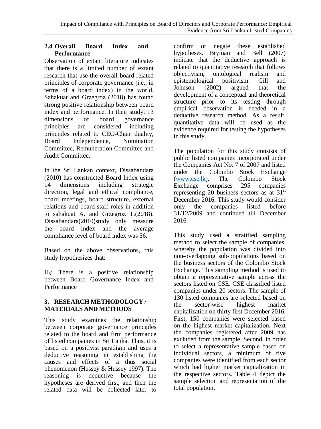#### **2.4 Overall Board Index and Performance**

Observation of extant literature indicates that there is a limited number of extant research that use the overall board related principles of corporate governance (i.e., in terms of a board index) in the world. Sahakuat and Grzegroz (2018) has found strong positive relationship between board index and performance. In their study, 13 dimensions of board governance principles are considered including principles related to CEO-Chair duality, Board Independence, Nomination Committee, Remuneration Committee and Audit Committee.

In the Sri Lankan context, Dissabandara (2010) has constructed Board Index using 14 dimensions including strategic direction, legal and ethical compliance, board meetings, board structure, external relations and board-staff roles in addition to sahakuat A. and Grzegroz T.(2018). Dissabandara(2010)study only measure the board index and the average compliance level of board index was 56.

Based on the above observations, this study hypothesizes that:

 $H<sub>5</sub>$ : There is a positive relationship between Board Governance Index and Performance

# **3. RESEARCH METHODOLOGY / MATERIALS AND METHODS**

This study examines the relationship between corporate governance principles related to the board and firm performance of listed companies in Sri Lanka. Thus, it is based on a positivist paradigm and uses a deductive reasoning in establishing the causes and effects of a thus social phenomenon (Hussey & Hussey 1997). The reasoning is deductive because the hypotheses are derived first, and then the related data will be collected later to

confirm or negate these established hypotheses. Bryman and Bell (2007) indicate that the deductive approach is related to quantitative research that follows objectivism, ontological realism and epistemological positivism. Gill and Johnson (2002) argued that the development of a conceptual and theoretical structure prior to its testing through empirical observation is needed in a deductive research method. As a result, quantitative data will be used as the evidence required for testing the hypotheses in this study.

The population for this study consists of public listed companies incorporated under the Companies Act No. 7 of 2007 and listed under the Colombo Stock Exchange [\(www.cse.lk\)](http://www.cse.lk/). The Colombo Stock Exchange comprises 295 companies representing 20 business sectors as at  $31<sup>st</sup>$ December 2016. This study would consider only the companies listed before 31/12/2009 and continued till December 2016.

This study used a stratified sampling method to select the sample of companies, whereby the population was divided into non-overlapping sub-populations based on the business sectors of the Colombo Stock Exchange. This sampling method is used to obtain a representative sample across the sectors listed on CSE. CSE classified listed companies under 20 sectors. The sample of 130 listed companies are selected based on the sector-wise highest market capitalization on thirty first December 2016. First, 150 companies were selected based on the highest market capitalization. Next the companies registered after 2009 has excluded from the sample. Second, in order to select a representative sample based on individual sectors, a minimum of five companies were identified from each sector which had higher market capitalization in the respective sectors. Table 4 depict the sample selection and representation of the total population.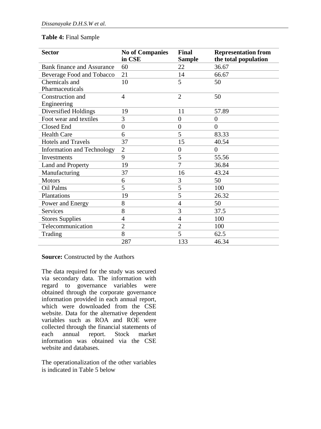#### **Table 4:** Final Sample

| <b>Sector</b>                     | <b>No of Companies</b><br>in CSE | Final<br><b>Sample</b> | <b>Representation from</b><br>the total population |
|-----------------------------------|----------------------------------|------------------------|----------------------------------------------------|
| <b>Bank finance and Assurance</b> | 60                               | 22                     | 36.67                                              |
| Beverage Food and Tobacco         | 21                               | 14                     | 66.67                                              |
| Chemicals and                     | 10                               | 5                      | 50                                                 |
| Pharmaceuticals                   |                                  |                        |                                                    |
| Construction and                  | $\overline{4}$                   | $\overline{2}$         | 50                                                 |
| Engineering                       |                                  |                        |                                                    |
| Diversified Holdings              | 19                               | 11                     | 57.89                                              |
| Foot wear and textiles            | 3                                | $\boldsymbol{0}$       | $\theta$                                           |
| Closed End                        | $\overline{0}$                   | $\boldsymbol{0}$       | $\theta$                                           |
| <b>Health Care</b>                | 6                                | 5                      | 83.33                                              |
| <b>Hotels and Travels</b>         | 37                               | 15                     | 40.54                                              |
| <b>Information and Technology</b> | $\overline{2}$                   | $\boldsymbol{0}$       | $\theta$                                           |
| Investments                       | 9                                | 5                      | 55.56                                              |
| Land and Property                 | 19                               | 7                      | 36.84                                              |
| Manufacturing                     | 37                               | 16                     | 43.24                                              |
| <b>Motors</b>                     | 6                                | 3                      | 50                                                 |
| Oil Palms                         | 5                                | 5                      | 100                                                |
| Plantations                       | 19                               | 5                      | 26.32                                              |
| Power and Energy                  | 8                                | 4                      | 50                                                 |
| Services                          | 8                                | 3                      | 37.5                                               |
| <b>Stores Supplies</b>            | $\overline{4}$                   | 4                      | 100                                                |
| Telecommunication                 | $\overline{2}$                   | $\overline{2}$         | 100                                                |
| Trading                           | 8                                | 5                      | 62.5                                               |
|                                   | 287                              | 133                    | 46.34                                              |

**Source:** Constructed by the Authors

The data required for the study was secured via secondary data. The information with regard to governance variables were obtained through the corporate governance information provided in each annual report, which were downloaded from the CSE website. Data for the alternative dependent variables such as ROA and ROE were collected through the financial statements of each annual report. Stock market information was obtained via the CSE website and databases.

The operationalization of the other variables is indicated in Table 5 below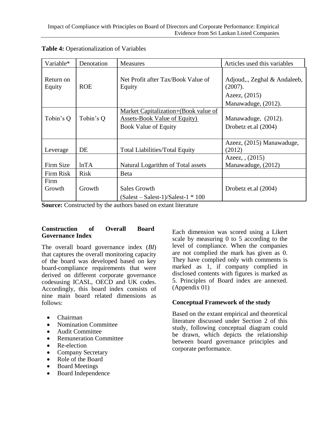| Variable*           | Denotation  | <b>Measures</b>                                                                                            | Articles used this variables                                                    |
|---------------------|-------------|------------------------------------------------------------------------------------------------------------|---------------------------------------------------------------------------------|
| Return on<br>Equity | <b>ROE</b>  | Net Profit after Tax/Book Value of<br>Equity                                                               | Adjoud,., Zeghal & Andaleeb,<br>(2007).<br>Azeez, (2015)<br>Manawaduge, (2012). |
| Tobin's Q           | Tobin's Q   | Market Capitalization+(Book value of<br><b>Assets-Book Value of Equity)</b><br><b>Book Value of Equity</b> | Manawaduge, (2012).<br>Drobetz et.al (2004)                                     |
| Leverage            | DE          | <b>Total Liabilities/Total Equity</b>                                                                      | Azeez, (2015) Manawaduge,<br>(2012)                                             |
| Firm Size           | lnTA        | Natural Logarithm of Total assets                                                                          | Azeez, $(2015)$<br>Manawaduge, (2012)                                           |
| Firm Risk           | <b>Risk</b> | Beta                                                                                                       |                                                                                 |
| Firm<br>Growth      | Growth      | Sales Growth<br>$(Salest - Salest-1)/Salest-1 * 100$                                                       | Drobetz et.al (2004)                                                            |

**Table 4:** Operationalization of Variables

**Source:** Constructed by the authors based on extant literature

#### **Construction of Overall Board Governance Index**

The overall board governance index (*BI*) that captures the overall monitoring capacity of the board was developed based on key board-compliance requirements that were derived on different corporate governance codesusing ICASL, OECD and UK codes. Accordingly, this board index consists of nine main board related dimensions as follows:

- Chairman
- Nomination Committee
- **•** Audit Committee
- Remuneration Committee
- Re-election
- Company Secretary
- Role of the Board
- Board Meetings
- Board Independence

Each dimension was scored using a Likert scale by measuring 0 to 5 according to the level of compliance. When the companies are not complied the mark has given as 0. They have complied only with comments is marked as 1, if company complied in disclosed contents with figures is marked as 5. Principles of Board index are annexed. (Appendix 01)

# **Conceptual Framework of the study**

Based on the extant empirical and theoretical literature discussed under Section 2 of this study, following conceptual diagram could be drawn, which depicts the relationship between board governance principles and corporate performance.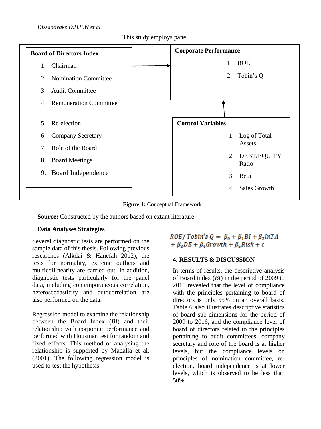

**Figure 1:** Conceptual Framework

**Source:** Constructed by the authors based on extant literature

#### **Data Analyses Strategies**

Several diagnostic tests are performed on the sample data of this thesis. Following previous researches (Alkdai & Hanefah 2012), the tests for normality, extreme outliers and multicollinearity are carried out. In addition, diagnostic tests particularly for the panel data, including contemporaneous correlation, heteroscedasticity and autocorrelation are also performed on the data.

Regression model to examine the relationship between the Board Index (*BI*) and their relationship with corporate performance and performed with Housman test for random and fixed effects. This method of analysing the relationship is supported by Madalla et al. (2001). The following regression model is used to test the hypothesis.

ROE/Tobin's  $Q = \beta_0 + \beta_1 BI + \beta_2 lnTA$ +  $\beta_3 DE + \beta_4 Growth + \beta_5 Risk + \varepsilon$ 

### **4. RESULTS & DISCUSSION**

In terms of results, the descriptive analysis of Board index (*BI*) in the period of 2009 to 2016 revealed that the level of compliance with the principles pertaining to board of directors is only 55% on an overall basis. Table 6 also illustrates descriptive statistics of board sub-dimensions for the period of 2009 to 2016, and the compliance level of board of directors related to the principles pertaining to audit committees, company secretary and role of the board is at higher levels, but the compliance levels on principles of nomination committee, reelection, board independence is at lower levels, which is observed to be less than 50%.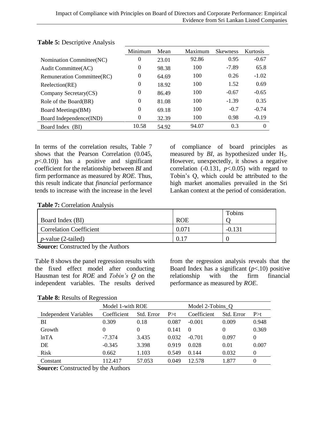|                                    | Minimum          | Mean  | Maximum | <b>Skewness</b> | Kurtosis |
|------------------------------------|------------------|-------|---------|-----------------|----------|
| Nomination Committee(NC)           | $\theta$         | 23.01 | 92.86   | 0.95            | $-0.67$  |
| Audit Committee(AC)                | $\boldsymbol{0}$ | 98.38 | 100     | $-7.89$         | 65.8     |
| <b>Remuneration Committee (RC)</b> | $\theta$         | 64.69 | 100     | 0.26            | $-1.02$  |
| Reelection(RE)                     | $\theta$         | 18.92 | 100     | 1.52            | 0.69     |
| Company Secretary(CS)              | $\theta$         | 86.49 | 100     | $-0.67$         | $-0.65$  |
| Role of the Board(BR)              | $\theta$         | 81.08 | 100     | $-1.39$         | 0.35     |
| Board Meetings(BM)                 | $\theta$         | 69.18 | 100     | $-0.7$          | $-0.74$  |
| Board Independence(IND)            | $\theta$         | 32.39 | 100     | 0.98            | $-0.19$  |
| Board Index (BI)                   | 10.58            | 54.92 | 94.07   | 0.3             | $\Omega$ |

**Table 5:** Descriptive Analysis

In terms of the correlation results, Table 7 shows that the Pearson Correlation (0.045,  $p<0.10$ ) has a positive and significant coefficient for the relationship between *BI* and firm performance as measured by *ROE*. Thus, this result indicate that *financial* performance tends to increase with the increase in the level

of compliance of board principles as measured by *BI*, as hypothesized under H<sub>5</sub>. However, unexpectedly, it shows a negative correlation  $(-0.131, p<0.05)$  with regard to Tobin"s Q, which could be attributed to the high market anomalies prevailed in the Sri Lankan context at the period of consideration.

**Table 7:** Correlation Analysis

|                         |            | Tobins   |
|-------------------------|------------|----------|
| Board Index (BI)        | <b>ROE</b> |          |
| Correlation Coefficient | 0.07       | $-0.131$ |
| $p$ -value (2-tailed)   | 0.17       |          |

**Source:** Constructed by the Authors

Table 8 shows the panel regression results with the fixed effect model after conducting Hausman test for *ROE* and *Tobin's Q* on the independent variables. The results derived from the regression analysis reveals that the Board Index has a significant  $(p<.10)$  positive relationship with the firm financial performance as measured by *ROE*.

**Table 8:** Results of Regression

|                       | Model 1-with ROE |            |       | Model 2-Tobins O |            |          |
|-----------------------|------------------|------------|-------|------------------|------------|----------|
| Independent Variables | Coefficient      | Std. Error | P > t | Coefficient      | Std. Error | P > t    |
| BI                    | 0.309            | 0.18       | 0.087 | $-0.001$         | 0.009      | 0.948    |
| Growth                | $\theta$         | 0          | 0.141 | $\Omega$         | 0          | 0.369    |
| lnTA                  | $-7.374$         | 3.435      | 0.032 | $-0.701$         | 0.097      | $\Omega$ |
| DE                    | $-0.345$         | 3.398      | 0.919 | 0.028            | 0.01       | 0.007    |
| Risk                  | 0.662            | 1.103      | 0.549 | 0.144            | 0.032      | 0        |
| Constant              | 112.417          | 57.053     | 0.049 | 12.578           | 1.877      | 0        |

**Source:** Constructed by the Authors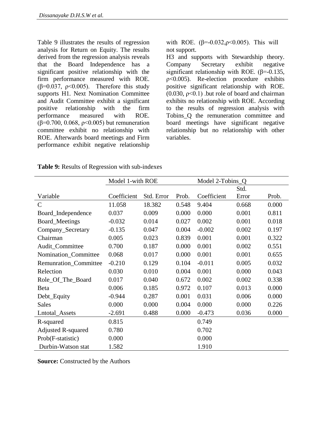Table 9 illustrates the results of regression analysis for Return on Equity. The results derived from the regression analysis reveals that the Board Independence has a significant positive relationship with the firm performance measured with ROE. ( $\beta$ =0.037,  $\rho$ <0.005). Therefore this study supports H1. Next Nomination Committee and Audit Committee exhibit a significant positive relationship with the firm performance measured with ROE. ( $β=0.700$ , 0.068,  $ρ<0.005$ ) but remuneration committee exhibit no relationship with ROE. Afterwards board meetings and Firm performance exhibit negative relationship with ROE. (β=-0.032,ρ < 0.005). This will not support.

H3 and supports with Stewardship theory. Company Secretary exhibit negative significant relationship with ROE.  $(\beta = 0.135,$ ρ<0.005). Re-election procedure exhibits positive significant relationship with ROE.  $(0.030, p<0.1)$  but role of board and chairman exhibits no relationship with ROE. According to the results of regression analysis with Tobins\_Q the remuneration committee and board meetings have significant negative relationship but no relationship with other variables.

|                           | Model 1-with ROE |            |       | Model 2-Tobins Q |       |       |
|---------------------------|------------------|------------|-------|------------------|-------|-------|
|                           |                  |            |       |                  | Std.  |       |
| Variable                  | Coefficient      | Std. Error | Prob. | Coefficient      | Error | Prob. |
| C                         | 11.058           | 18.382     | 0.548 | 9.404            | 0.668 | 0.000 |
| Board_Independence        | 0.037            | 0.009      | 0.000 | 0.000            | 0.001 | 0.811 |
| Board_Meetings            | $-0.032$         | 0.014      | 0.027 | 0.002            | 0.001 | 0.018 |
| Company_Secretary         | $-0.135$         | 0.047      | 0.004 | $-0.002$         | 0.002 | 0.197 |
| Chairman                  | 0.005            | 0.023      | 0.839 | 0.001            | 0.001 | 0.322 |
| Audit_Committee           | 0.700            | 0.187      | 0.000 | 0.001            | 0.002 | 0.551 |
| Nomination_Committee      | 0.068            | 0.017      | 0.000 | 0.001            | 0.001 | 0.655 |
| Remunration_Committee     | $-0.210$         | 0.129      | 0.104 | $-0.011$         | 0.005 | 0.032 |
| Relection                 | 0.030            | 0.010      | 0.004 | 0.001            | 0.000 | 0.043 |
| Role_Of_The_Board         | 0.017            | 0.040      | 0.672 | 0.002            | 0.002 | 0.338 |
| <b>B</b> eta              | 0.006            | 0.185      | 0.972 | 0.107            | 0.013 | 0.000 |
| Debt_Equity               | $-0.944$         | 0.287      | 0.001 | 0.031            | 0.006 | 0.000 |
| Sales                     | 0.000            | 0.000      | 0.004 | 0.000            | 0.000 | 0.226 |
| Lntotal_Assets            | $-2.691$         | 0.488      | 0.000 | $-0.473$         | 0.036 | 0.000 |
| R-squared                 | 0.815            |            |       | 0.749            |       |       |
| <b>Adjusted R-squared</b> | 0.780            |            |       | 0.702            |       |       |
| Prob(F-statistic)         | 0.000            |            |       | 0.000            |       |       |
| Durbin-Watson stat        | 1.582            |            |       | 1.910            |       |       |

**Table 9:** Results of Regression with sub-indexes

**Source:** Constructed by the Authors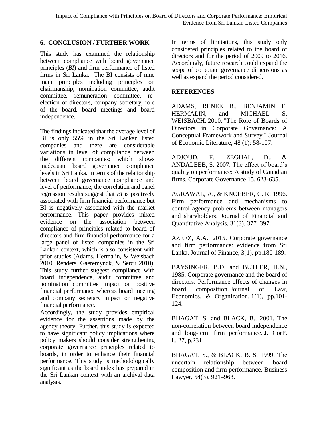#### **6. CONCLUSION / FURTHER WORK**

This study has examined the relationship between compliance with board governance principles (*BI*) and firm performance of listed firms in Sri Lanka. The BI consists of nine main principles including principles on chairmanship, nomination committee, audit committee, remuneration committee, reelection of directors, company secretary, role of the board, board meetings and board independence.

The findings indicated that the average level of BI is only 55% in the Sri Lankan listed companies and there are considerable variations in level of compliance between the different companies; which shows inadequate board governance compliance levels in Sri Lanka. In terms of the relationship between board governance compliance and level of performance, the correlation and panel regression results suggest that *BI* is positively associated with firm financial performance but BI is negatively associated with the market performance. This paper provides mixed evidence on the association between compliance of principles related to board of directors and firm financial performance for a large panel of listed companies in the Sri Lankan context, which is also consistent with prior studies (Adams, Hermalin, & Weisbach 2010, Renders, Gaeremynck, & Sercu 2010). This study further suggest compliance with board independence, audit committee and nomination committee impact on positive financial performance whereas board meeting and company secretary impact on negative financial performance.

Accordingly, the study provides empirical evidence for the assertions made by the agency theory. Further, this study is expected to have significant policy implications where policy makers should consider strengthening corporate governance principles related to boards, in order to enhance their financial performance. This study is methodologically significant as the board index has prepared in the Sri Lankan context with an archival data analysis.

In terms of limitations, this study only considered principles related to the board of directors and for the period of 2009 to 2016. Accordingly, future research could expand the scope of corporate governance dimensions as well as expand the period considered.

### **REFERENCES**

ADAMS, RENEE B., BENJAMIN E. HERMALIN, and MICHAEL S. WEISBACH. 2010. "The Role of Boards of Directors in Corporate Governance: A Conceptual Framework and Survey." Journal of Economic Literature, 48 (1): 58-107.

ADJOUD, F., ZEGHAL, D., & ANDALEEB, S. 2007. The effect of board"s quality on performance: A study of Canadian firms. Corporate Governance 15, 623-635.

AGRAWAL, A., & KNOEBER, C. R. 1996. Firm performance and mechanisms to control agency problems between managers and shareholders. Journal of Financial and Quantitative Analysis, 31(3), 377–397.

AZEEZ, A.A., 2015. Corporate governance and firm performance: evidence from Sri Lanka. Journal of Finance, 3(1), pp.180-189.

BAYSINGER, B.D. and BUTLER, H.N., 1985. Corporate governance and the board of directors: Performance effects of changes in board composition. Journal of Law, Economics, & Organization, 1(1), pp.101- 124.

BHAGAT, S. and BLACK, B., 2001. The non-correlation between board independence and long-term firm performance. J. CorP. l., 27, p.231.

BHAGAT, S., & BLACK, B. S. 1999. The uncertain relationship between board composition and firm performance. Business Lawyer, 54(3), 921–963.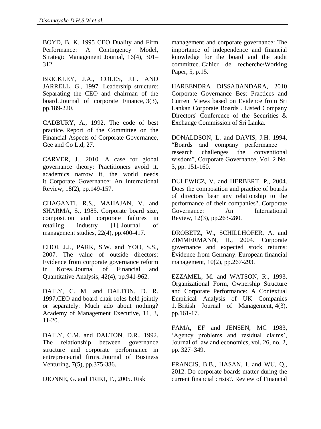BOYD, B. K. 1995 CEO Duality and Firm Performance: A Contingency Model, Strategic Management Journal, 16(4), 301– 312.

BRICKLEY, J.A., COLES, J.L. AND JARRELL, G., 1997. Leadership structure: Separating the CEO and chairman of the board. Journal of corporate Finance, 3(3), pp.189-220.

CADBURY, A., 1992. The code of best practice. Report of the Committee on the Financial Aspects of Corporate Governance, Gee and Co Ltd, 27.

CARVER, J., 2010. A case for global governance theory: Practitioners avoid it, academics narrow it, the world needs it. Corporate Governance: An International Review, 18(2), pp.149-157.

CHAGANTI, R.S., MAHAJAN, V. and SHARMA, S., 1985. Corporate board size, composition and corporate failures in retailing industry [1]. Journal of management studies, 22(4), pp.400-417.

CHOI, J.J., PARK, S.W. and YOO, S.S., 2007. The value of outside directors: Evidence from corporate governance reform in Korea. Journal of Financial and Quantitative Analysis, 42(4), pp.941-962.

DAILY, C. M. and DALTON, D. R. 1997,CEO and board chair roles held jointly or separately: Much ado about nothing? Academy of Management Executive, 11, 3, 11-20.

DAILY, C.M. and DALTON, D.R., 1992. The relationship between governance structure and corporate performance in entrepreneurial firms. Journal of Business Venturing, 7(5), pp.375-386.

DIONNE, G. and TRIKI, T., 2005. Risk

management and corporate governance: The importance of independence and financial knowledge for the board and the audit committee. Cahier de recherche/Working Paper, 5, p.15.

HAREENDRA DISSABANDARA, 2010 Corporate Governance Best Practices and Current Views based on Evidence from Sri Lankan Corporate Boards . Listed Company Directors' Conference of the Securities & Exchange Commission of Sri Lanka.

DONALDSON, L. and DAVIS, J.H. 1994, "Boards and company performance –<br>research challenges the conventional research challenges the conventional wisdom", Corporate Governance, Vol. 2 No. 3, pp. 151-160.

DULEWICZ, V. and HERBERT, P., 2004. Does the composition and practice of boards of directors bear any relationship to the performance of their companies?. Corporate Governance: An International Review, 12(3), pp.263-280.

DROBETZ, W., SCHILLHOFER, A. and ZIMMERMANN, H., 2004. Corporate governance and expected stock returns: Evidence from Germany. European financial management, 10(2), pp.267-293.

EZZAMEL, M. and WATSON, R., 1993. Organizational Form, Ownership Structure and Corporate Performance: A Contextual Empirical Analysis of UK Companies 1. British Journal of Management, 4(3), pp.161-17.

FAMA, EF and JENSEN, MC 1983, "Agency problems and residual claims", Journal of law and economics, vol. 26, no. 2, pp. 327–349.

FRANCIS, B.B., HASAN, I. and WU, Q., 2012. Do corporate boards matter during the current financial crisis?. Review of Financial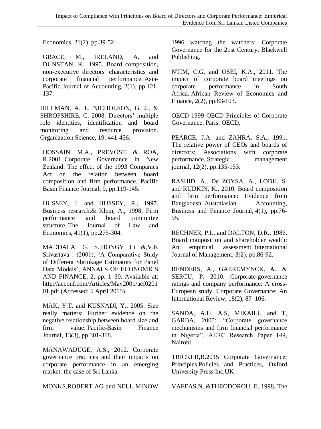Economics, 21(2), pp.39-52.

GRACE, M., IRELAND, A. and DUNSTAN, K., 1995. Board composition, non-executive directors' characteristics and corporate financial performance. Asia-Pacific Journal of Accounting, 2(1), pp.121- 137.

HILLMAN, A. J., NICHOLSON, G. J., & SHROPSHIRE, C. 2008. Directors' multiple role identities, identification and board monitoring and resource provision. Organization Science, 19: 441-456.

HOSSAIN, M.A., PREVOST, & ROA, R.2001. Corporate Governance in New Zealand: The effect of the 1993 Companies Act on the relation between board composition and firm performance. Pacific Basin Finance Journal, 9, pp.119-145.

HUSSEY, J. and HUSSEY, R., 1997. Business research.& Klein, A., 1998. Firm performance and board committee structure. The Journal of Law and Economics, 41(1), pp.275-304.

MADDALA, G. S.,HONGY Li &,V,K Srivastava . (2001), "A Comparative Study of Different Shrinkage Estimators for Panel Data Models", ANNALS OF ECONOMICS AND FINANCE, 2, pp. 1–30. Available at: http://aeconf.com/Articles/May2001/aef0201 01.pdf (Accessed: 5 April 2015).

MAK, Y.T. and KUSNADI, Y., 2005. Size really matters: Further evidence on the negative relationship between board size and firm value. Pacific-Basin Finance Journal, 13(3), pp.301-318.

MANAWADUGE, A.S., 2012. Corporate governance practices and their impacts on corporate performance in an emerging market: the case of Sri Lanka.

MONKS,ROBERT AG and NELL MINOW

1996 watchng the watchers: Corporate Governance for the 21st Century, Blackwell Publishing.

NTIM, C.G. and OSEI, K.A., 2011. The impact of corporate board meetings on corporate performance in South Africa. African Review of Economics and Finance, 2(2), pp.83-103.

OECD 1999 OECD Principles of Corporate Governance. Paris: OECD.

PEARCE, J.A. and ZAHRA, S.A., 1991. The relative power of CEOs and boards of directors: Associations with corporate performance. Strategic management journal, 12(2), pp.135-153.

RASHID, A., De ZOYSA, A., LODH, S. and RUDKIN, K., 2010. Board composition and firm performance: Evidence from Bangladesh. Australasian Accounting, Business and Finance Journal, 4(1), pp.76- 95.

RECHNER, P.L. and DALTON, D.R., 1986. Board composition and shareholder wealth: An empirical assessment. International Journal of Management, 3(2), pp.86-92.

RENDERS, A., GAEREMYNCK, A., & SERCU, P. 2010. Corporate-governance ratings and company performance: A cross-European study. Corporate Governance: An International Review, 18(2), 87–106.

SANDA, A.U, A.S, MIKAILU and T, GARBA, 2005: "Corporate governance mechanisms and firm financial performance in Nigeria", AERC Research Paper 149, Nairobi.

TRICKER,B.2015 Corporate Governance; Principles,Policies and Practices, Oxford University Press Inc,UK

VAFEAS,N.,&THEODOROU, E. 1998. The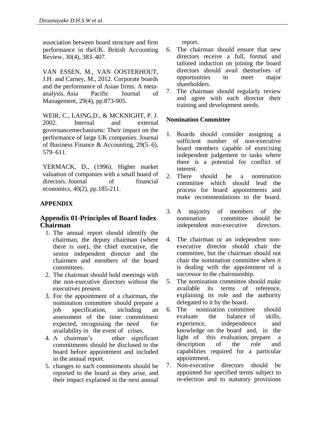association between board structure and firm performance in theUK. British Accounting Review, 30(4), 383–407.

VAN ESSEN, M., VAN OOSTERHOUT, J.H. and Carney, M., 2012. Corporate boards and the performance of Asian firms: A metaanalysis. Asia Pacific Journal of Management, 29(4), pp.873-905.

WEIR, C., LAING,D., & MCKNIGHT, P. J. 2002. Internal and external governancemechanisms: Their impact on the performance of large UK companies. Journal of Business Finance & Accounting, 29(5–6), 579–611.

YERMACK, D., (1996). Higher market valuation of companies with a small board of directors. Journal of financial economics, 40(2), pp.185-211.

## **APPENDIX**

# **Appendix 01-Principles of Board Index Chairman**

- 1. The annual report should identify the chairman, the deputy chairman (where there is one), the chief executive, the senior independent director and the chairmen and members of the board committees.
- 2. The chairman should hold meetings with the non-executive directors without the executives present.
- 3. For the appointment of a chairman, the nomination committee should prepare a<br>job specification, including an job specification, including an assessment of the time commitment expected, recognising the need for availability in the event of crises.
- 4. A chairman"s other significant commitments should be disclosed to the board before appointment and included in the annual report.
- 5. changes to such commitments should be reported to the board as they arise, and their impact explained in the next annual

report.

- 6. The chairman should ensure that new directors receive a full, formal and tailored induction on joining the board directors should avail themselves of opportunities to meet major shareholders.
- 7. The chairman should regularly review and agree with each director their training and development needs.

#### **Nomination Committee**

- 1. Boards should consider assigning a sufficient number of non-executive board members capable of exercising independent judgement to tasks where there is a potential for conflict of interest.
- 2. There should be a nomination committee which should lead the process for board appointments and make recommendations to the board.
- 3. A majority of members of the committee should be independent non-executive directors.
- 4. The chairman or an independent nonexecutive director should chair the committee, but the chairman should not chair the nomination committee when it is dealing with the appointment of a successor to the chairmanship.
- 5. The nomination committee should make available its terms of reference, explaining its role and the authority delegated to it by the board.
- 6. The nomination committee should evaluate the balance of skills, experience, independence and knowledge on the board and, in the light of this evaluation, prepare a description of the role and capabilities required for a particular appointment.
- 7. Non-executive directors should be appointed for specified terms subject to re-election and to statutory provisions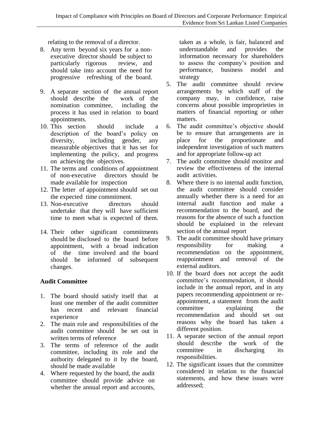relating to the removal of a director.

- 8. Any term beyond six years for a nonexecutive director should be subject to particularly rigorous review, and should take into account the need for progressive refreshing of the board.
- 9. A separate section of the annual report should describe the work of the nomination committee, including the process it has used in relation to board appointments.
- 10. This section should include a description of the board"s policy on diversity, including gender, any measurable objectives that it has set for implementing the policy, and progress on achieving the objectives.
- 11. The terms and conditions of appointment of non-executive directors should be made available for inspection
- 12. The letter of appointment should set out the expected time commitment.
- 13. Non-executive directors should undertake that they will have sufficient time to meet what is expected of them.
- 14. Their other significant commitments should be disclosed to the board before appointment, with a broad indication of the time involved and the board should be informed of subsequent changes.

# **Audit Committee**

- 1. The board should satisfy itself that at least one member of the audit committee has recent and relevant financial experience
- 2. The main role and responsibilities of the audit committee should be set out in written terms of reference
- 3. The terms of reference of the audit committee, including its role and the authority delegated to it by the board, should be made available
- 4. Where requested by the board, the audit committee should provide advice on whether the annual report and accounts,

taken as a whole, is fair, balanced and understandable and provides the information necessary for shareholders to assess the company"s position and performance, business model and strategy

- 5. The audit committee should review arrangements by which staff of the company may, in confidence, raise concerns about possible improprieties in matters of financial reporting or other matters.
- 6. The audit committee"s objective should be to ensure that arrangements are in place for the proportionate and independent investigation of such matters and for appropriate follow-up act
- 7. The audit committee should monitor and review the effectiveness of the internal audit activities.
- 8. Where there is no internal audit function, the audit committee should consider annually whether there is a need for an internal audit function and make a recommendation to the board, and the reasons for the absence of such a function should be explained in the relevant section of the annual report
- 9. The audit committee should have primary responsibility for making a recommendation on the appointment, reappointment and removal of the external auditors.
- 10. If the board does not accept the audit committee"s recommendation, it should include in the annual report, and in any papers recommending appointment or reappointment, a statement from the audit committee explaining the recommendation and should set out reasons why the board has taken a different position.
- 11. A separate section of the annual report should describe the work of the committee in discharging its responsibilities.
- 12. The significant issues that the committee considered in relation to the financial statements, and how these issues were addressed;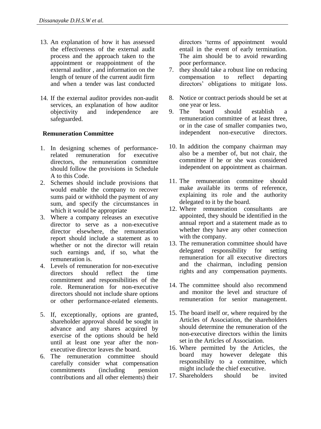- 13. An explanation of how it has assessed the effectiveness of the external audit process and the approach taken to the appointment or reappointment of the external auditor , and information on the length of tenure of the current audit firm and when a tender was last conducted
- 14. If the external auditor provides non-audit services, an explanation of how auditor objectivity and independence are safeguarded.

#### **Remuneration Committee**

- 1. In designing schemes of performancerelated remuneration for executive directors, the remuneration committee should follow the provisions in Schedule A to this Code.
- 2. Schemes should include provisions that would enable the company to recover sums paid or withhold the payment of any sum, and specify the circumstances in which it would be appropriate
- 3. Where a company releases an executive director to serve as a non-executive director elsewhere, the remuneration report should include a statement as to whether or not the director will retain such earnings and, if so, what the remuneration is.
- 4. Levels of remuneration for non-executive directors should reflect the time commitment and responsibilities of the role. Remuneration for non-executive directors should not include share options or other performance-related elements.
- 5. If, exceptionally, options are granted, shareholder approval should be sought in advance and any shares acquired by exercise of the options should be held until at least one year after the nonexecutive director leaves the board.
- 6. The remuneration committee should carefully consider what compensation commitments (including pension contributions and all other elements) their

directors "terms of appointment would entail in the event of early termination. The aim should be to avoid rewarding poor performance.

- 7. they should take a robust line on reducing compensation to reflect departing directors' obligations to mitigate loss.
- 8. Notice or contract periods should be set at one year or less.<br>The board
- 9. The board should establish a remuneration committee of at least three, or in the case of smaller companies two,<br>independent non-executive directors. independent non-executive
- 10. In addition the company chairman may also be a member of, but not chair, the committee if he or she was considered independent on appointment as chairman.
- 11. The remuneration committee should make available its terms of reference, explaining its role and the authority delegated to it by the board.
- 12. Where remuneration consultants are appointed, they should be identified in the annual report and a statement made as to whether they have any other connection with the company.
- 13. The remuneration committee should have delegated responsibility for setting remuneration for all executive directors and the chairman, including pension rights and any compensation payments.
- 14. The committee should also recommend and monitor the level and structure of remuneration for senior management.
- 15. The board itself or, where required by the Articles of Association, the shareholders should determine the remuneration of the non-executive directors within the limits set in the Articles of Association.
- 16. Where permitted by the Articles, the board may however delegate this responsibility to a committee, which might include the chief executive.<br>Shareholders should be
- 17. Shareholders should be invited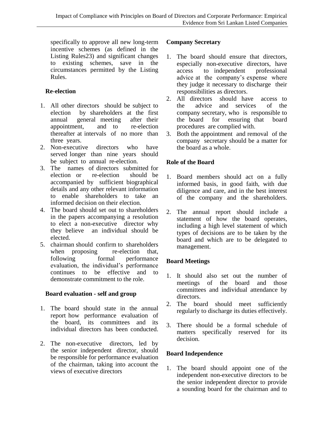specifically to approve all new long-term incentive schemes (as defined in the Listing Rules23) and significant changes to existing schemes, save in the circumstances permitted by the Listing Rules.

# **Re-election**

- 1. All other directors should be subject to election by shareholders at the first annual general meeting after their appointment, and to re-election thereafter at intervals of no more than three years.
- 2. Non-executive directors who have served longer than nine years should be subject to annual re-election.
- 3. The names of directors submitted for election or re-election should be accompanied by sufficient biographical details and any other relevant information to enable shareholders to take an informed decision on their election.
- 4. The board should set out to shareholders in the papers accompanying a resolution to elect a non-executive director why they believe an individual should be elected.
- 5. chairman should confirm to shareholders when proposing re-election that, following formal performance evaluation, the individual"s performance continues to be effective and to demonstrate commitment to the role.

## **Board evaluation - self and group**

- 1. The board should state in the annual report how performance evaluation of the board, its committees and its individual directors has been conducted.
- 2. The non-executive directors, led by the senior independent director, should be responsible for performance evaluation of the chairman, taking into account the views of executive directors

## **Company Secretary**

- 1. The board should ensure that directors, especially non-executive directors, have access to independent professional advice at the company"s expense where they judge it necessary to discharge their responsibilities as directors.
- 2. All directors should have access to the advice and services of the company secretary, who is responsible to the board for ensuring that board procedures are complied with.
- 3. Both the appointment and removal of the company secretary should be a matter for the board as a whole.

# **Role of the Board**

- 1. Board members should act on a fully informed basis, in good faith, with due diligence and care, and in the best interest of the company and the shareholders.
- 2. The annual report should include a statement of how the board operates, including a high level statement of which types of decisions are to be taken by the board and which are to be delegated to management.

# **Board Meetings**

- 1. It should also set out the number of meetings of the board and those committees and individual attendance by directors.
- 2. The board should meet sufficiently regularly to discharge its duties effectively.
- 3. There should be a formal schedule of matters specifically reserved for its decision.

# **Board Independence**

1. The board should appoint one of the independent non-executive directors to be the senior independent director to provide a sounding board for the chairman and to